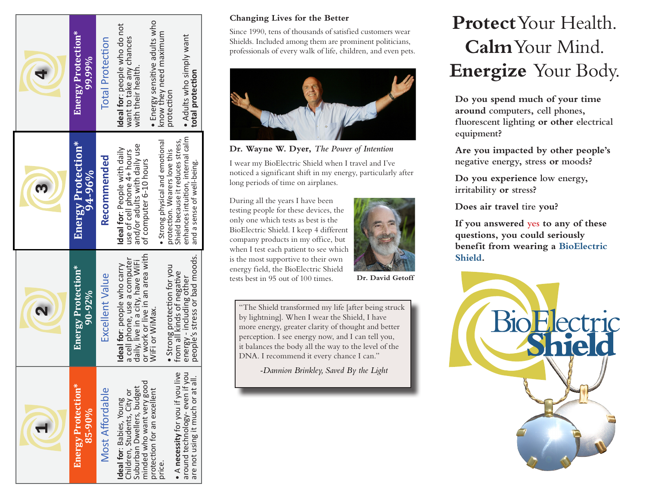| Energy Protection*<br>85-90%                                                                                     | Energy Protection*<br>$90 - 92\%$                                                                                                  | Energy Protection*<br>$94 - 96%$                                                                                     | Energy Protection*<br>99.99%                                                   |
|------------------------------------------------------------------------------------------------------------------|------------------------------------------------------------------------------------------------------------------------------------|----------------------------------------------------------------------------------------------------------------------|--------------------------------------------------------------------------------|
| <b>Most Affordable</b>                                                                                           | Excellent Value                                                                                                                    | Recommended                                                                                                          | <b>Total Protection</b>                                                        |
| minded who want very good<br>Suburban Dwellers, budget<br>Children, Students, City or<br>deal for: Babies, Young | or work or live in an area with<br>a cell phone, use a computer<br>daily, live in a city, have WiFi<br>Ideal for: people who carry | and/or adults with daily use<br>Ideal for: People with daily<br>use of cell phone 4+ hours<br>of computer 6-10 hours | Ideal for: people who do not<br>want to take any chances<br>with their health. |
| protection for an excellent<br>price.                                                                            | • Strong protection for you<br>WiFi or WiMax.                                                                                      | • Strong physical and emotional<br>protection. Wearers love this                                                     | • Energy sensitive adults who<br>know they need maximum<br>protection          |
| • A necessity for you if you live<br>around technology-even if you<br>are not using it much or at all.           | people's stress or bad moods.<br>from all kinds of negative<br>energy - including other                                            | enhances intuition, internal calm<br>Shield because it reduces stress,<br>and a sense of well-being.                 | • Adults who simply want<br>total protection                                   |

### **Changing Lives for the Better**

Since 1990, tens of thousands of satisfied customers wear Shields. Included among them are prominent politicians, professionals of every walk of life, children, and even pets.



**Dr. Wayne W. Dyer,** *The Power of Intention*

I wear my BioElectric Shield when I travel and I've noticed a significant shift in my energy, particularly after long periods of time on airplanes.

During all the years I have been testing people for these devices, the only one which tests as best is the BioElectric Shield. I keep 4 different company products in my office, but when I test each patient to see which is the most supportive to their own energy field, the BioElectric Shield tests best in 95 out of 100 times.



**Dr. David Getoff**

"The Shield transformed my life [after being struck by lightning]. When I wear the Shield, I have more energy, greater clarity of thought and better perception. I see energy now, and I can tell you, it balances the body all the way to the level of the DNA. I recommend it every chance I can."

*-Dannion Brinkley, Saved By the Light*

# **Protect** Your Health. **Calm** Your Mind. **Energize** Your Body.

**Do you spend much of your time around computers, cell phones, fluorescent lighting or other electrical equipment?** 

**Are you impacted by other people's negative energy, stress or moods?**

**Do you experience low energy, irritability or stress?**

**Does air travel tire you?**

**If you answered yes to any of these questions, you could seriously benefit from wearing a BioElectric Shield.**